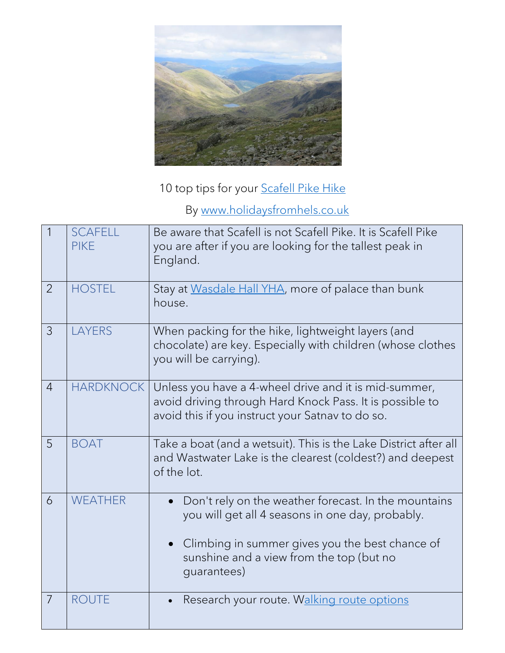

10 top tips for your **Scafell Pike Hike** 

By [www.holidaysfromhels.co.uk](http://www.holidaysfromhels.co.uk/)

| $\mathbf{1}$   | <b>SCAFELL</b><br><b>PIKE</b> | Be aware that Scafell is not Scafell Pike. It is Scafell Pike<br>you are after if you are looking for the tallest peak in<br>England.                                                                                  |
|----------------|-------------------------------|------------------------------------------------------------------------------------------------------------------------------------------------------------------------------------------------------------------------|
| $\overline{2}$ | <b>HOSTEL</b>                 | Stay at Wasdale Hall YHA, more of palace than bunk<br>house.                                                                                                                                                           |
| 3              | <b>LAYERS</b>                 | When packing for the hike, lightweight layers (and<br>chocolate) are key. Especially with children (whose clothes<br>you will be carrying).                                                                            |
| $\overline{4}$ | <b>HARDKNOCK</b>              | Unless you have a 4-wheel drive and it is mid-summer,<br>avoid driving through Hard Knock Pass. It is possible to<br>avoid this if you instruct your Satnav to do so.                                                  |
| 5              | <b>BOAT</b>                   | Take a boat (and a wetsuit). This is the Lake District after all<br>and Wastwater Lake is the clearest (coldest?) and deepest<br>of the lot.                                                                           |
| 6              | <b>WEATHER</b>                | Don't rely on the weather forecast. In the mountains<br>you will get all 4 seasons in one day, probably.<br>Climbing in summer gives you the best chance of<br>sunshine and a view from the top (but no<br>guarantees) |
| $\overline{7}$ | <b>ROUTE</b>                  | Research your route. Walking route options                                                                                                                                                                             |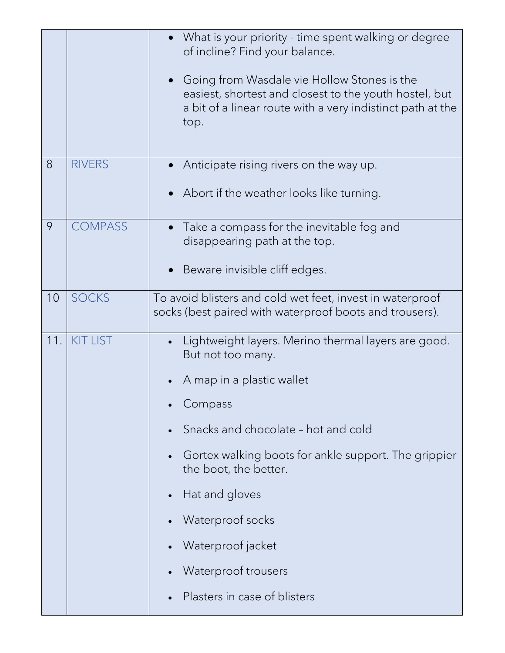|     |                 | • What is your priority - time spent walking or degree<br>of incline? Find your balance.<br>Going from Wasdale vie Hollow Stones is the<br>easiest, shortest and closest to the youth hostel, but<br>a bit of a linear route with a very indistinct path at the<br>top.                                                                                                 |
|-----|-----------------|-------------------------------------------------------------------------------------------------------------------------------------------------------------------------------------------------------------------------------------------------------------------------------------------------------------------------------------------------------------------------|
| 8   | <b>RIVERS</b>   | Anticipate rising rivers on the way up.<br>Abort if the weather looks like turning.                                                                                                                                                                                                                                                                                     |
| 9   | <b>COMPASS</b>  | Take a compass for the inevitable fog and<br>disappearing path at the top.<br>Beware invisible cliff edges.                                                                                                                                                                                                                                                             |
| 10  | <b>SOCKS</b>    | To avoid blisters and cold wet feet, invest in waterproof<br>socks (best paired with waterproof boots and trousers).                                                                                                                                                                                                                                                    |
| 11. | <b>KIT LIST</b> | Lightweight layers. Merino thermal layers are good.<br>But not too many.<br>A map in a plastic wallet<br>Compass<br>Snacks and chocolate - hot and cold<br>Gortex walking boots for ankle support. The grippier<br>the boot, the better.<br>Hat and gloves<br>$\bullet$<br>Waterproof socks<br>Waterproof jacket<br>Waterproof trousers<br>Plasters in case of blisters |